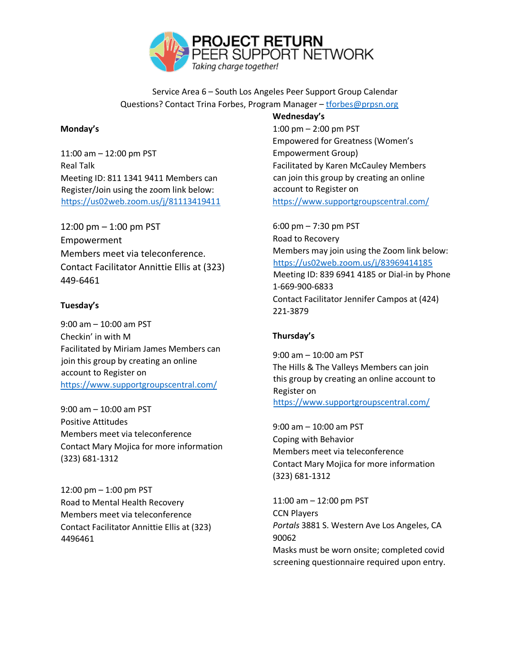

Service Area 6 – South Los Angeles Peer Support Group Calendar Questions? Contact Trina Forbes, Program Manager – tforbes@prpsn.org

## **Monday's**

11:00 am – 12:00 pm PST Real Talk Meeting ID: 811 1341 9411 Members can Register/Join using the zoom link below: <https://us02web.zoom.us/j/81113419411>

12:00 pm – 1:00 pm PST Empowerment Members meet via teleconference. Contact Facilitator Annittie Ellis at (323) 449-6461

## **Tuesday's**

9:00 am – 10:00 am PST Checkin' in with M Facilitated by Miriam James Members can join this group by creating an online account to Register on <https://www.supportgroupscentral.com/>

9:00 am – 10:00 am PST Positive Attitudes Members meet via teleconference Contact Mary Mojica for more information (323) 681-1312

12:00 pm – 1:00 pm PST Road to Mental Health Recovery Members meet via teleconference Contact Facilitator Annittie Ellis at (323) 4496461

**Wednesday's**  1:00 pm – 2:00 pm PST Empowered for Greatness (Women's Empowerment Group) Facilitated by Karen McCauley Members can join this group by creating an online account to Register on <https://www.supportgroupscentral.com/>

6:00 pm – 7:30 pm PST Road to Recovery Members may join using the Zoom link below: <https://us02web.zoom.us/j/83969414185> Meeting ID: 839 6941 4185 or Dial-in by Phone 1-669-900-6833 Contact Facilitator Jennifer Campos at (424) 221-3879

## **Thursday's**

9:00 am – 10:00 am PST The Hills & The Valleys Members can join this group by creating an online account to Register on <https://www.supportgroupscentral.com/>

9:00 am – 10:00 am PST Coping with Behavior Members meet via teleconference Contact Mary Mojica for more information (323) 681-1312

11:00 am – 12:00 pm PST CCN Players *Portals* 3881 S. Western Ave Los Angeles, CA 90062 Masks must be worn onsite; completed covid screening questionnaire required upon entry.